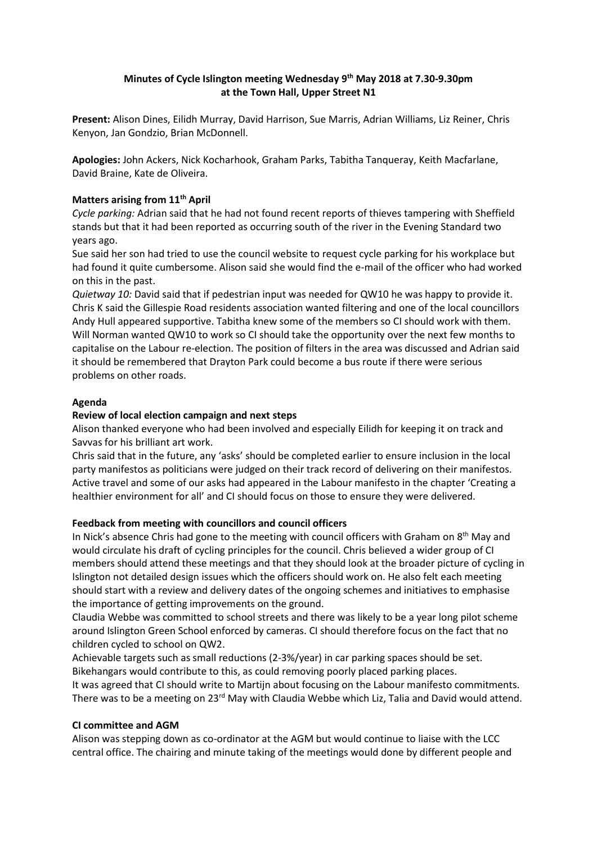# **Minutes of Cycle Islington meeting Wednesday 9 th May 2018 at 7.30-9.30pm at the Town Hall, Upper Street N1**

**Present:** Alison Dines, Eilidh Murray, David Harrison, Sue Marris, Adrian Williams, Liz Reiner, Chris Kenyon, Jan Gondzio, Brian McDonnell.

**Apologies:** John Ackers, Nick Kocharhook, Graham Parks, Tabitha Tanqueray, Keith Macfarlane, David Braine, Kate de Oliveira.

## **Matters arising from 11th April**

*Cycle parking:* Adrian said that he had not found recent reports of thieves tampering with Sheffield stands but that it had been reported as occurring south of the river in the Evening Standard two years ago.

Sue said her son had tried to use the council website to request cycle parking for his workplace but had found it quite cumbersome. Alison said she would find the e-mail of the officer who had worked on this in the past.

*Quietway 10:* David said that if pedestrian input was needed for QW10 he was happy to provide it. Chris K said the Gillespie Road residents association wanted filtering and one of the local councillors Andy Hull appeared supportive. Tabitha knew some of the members so CI should work with them. Will Norman wanted QW10 to work so CI should take the opportunity over the next few months to capitalise on the Labour re-election. The position of filters in the area was discussed and Adrian said it should be remembered that Drayton Park could become a bus route if there were serious problems on other roads.

## **Agenda**

#### **Review of local election campaign and next steps**

Alison thanked everyone who had been involved and especially Eilidh for keeping it on track and Savvas for his brilliant art work.

Chris said that in the future, any 'asks' should be completed earlier to ensure inclusion in the local party manifestos as politicians were judged on their track record of delivering on their manifestos. Active travel and some of our asks had appeared in the Labour manifesto in the chapter 'Creating a healthier environment for all' and CI should focus on those to ensure they were delivered.

#### **Feedback from meeting with councillors and council officers**

In Nick's absence Chris had gone to the meeting with council officers with Graham on 8<sup>th</sup> May and would circulate his draft of cycling principles for the council. Chris believed a wider group of CI members should attend these meetings and that they should look at the broader picture of cycling in Islington not detailed design issues which the officers should work on. He also felt each meeting should start with a review and delivery dates of the ongoing schemes and initiatives to emphasise the importance of getting improvements on the ground.

Claudia Webbe was committed to school streets and there was likely to be a year long pilot scheme around Islington Green School enforced by cameras. CI should therefore focus on the fact that no children cycled to school on QW2.

Achievable targets such as small reductions (2-3%/year) in car parking spaces should be set. Bikehangars would contribute to this, as could removing poorly placed parking places.

It was agreed that CI should write to Martijn about focusing on the Labour manifesto commitments. There was to be a meeting on 23<sup>rd</sup> May with Claudia Webbe which Liz, Talia and David would attend.

#### **CI committee and AGM**

Alison was stepping down as co-ordinator at the AGM but would continue to liaise with the LCC central office. The chairing and minute taking of the meetings would done by different people and